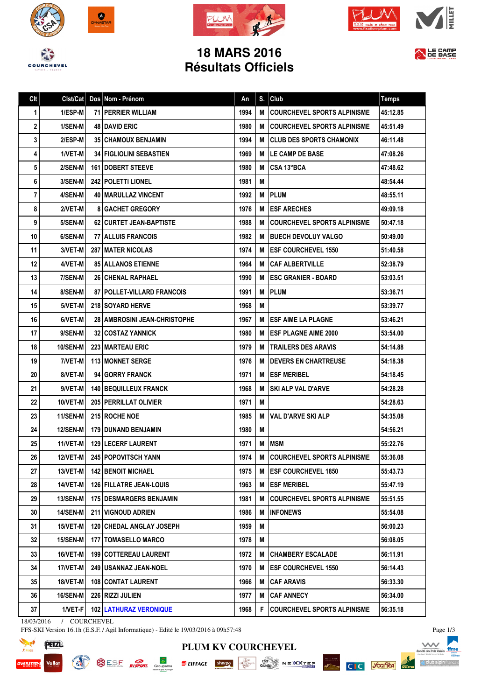







## **18 MARS 2016 Résultats Officiels**



| Clt | Clst/Cat        | Dos Nom - Prénom                      | An   | S. | Club                               | <b>Temps</b> |
|-----|-----------------|---------------------------------------|------|----|------------------------------------|--------------|
| 1   | 1/ESP-M         | <b>71 PERRIER WILLIAM</b>             | 1994 | M  | <b>COURCHEVEL SPORTS ALPINISME</b> | 45:12.85     |
| 2   | 1/SEN-M         | <b>48 I DAVID ERIC</b>                | 1980 | м  | <b>COURCHEVEL SPORTS ALPINISME</b> | 45:51.49     |
| 3   | 2/ESP-M         | <b>351 CHAMOUX BENJAMIN</b>           | 1994 | М  | <b>CLUB DES SPORTS CHAMONIX</b>    | 46:11.48     |
| 4   | 1/VET-M         | <b>34   FIGLIOLINI SEBASTIEN</b>      | 1969 | M  | LE CAMP DE BASE                    | 47:08.26     |
| 5   | 2/SEN-M         | <b>161   DOBERT STEEVE</b>            | 1980 | M  | CSA 13°BCA                         | 47:48.62     |
| 6   | 3/SEN-M         | 242   POLETTI LIONEL                  | 1981 | M  |                                    | 48:54.44     |
| 7   | 4/SEN-M         | <b>40   MARULLAZ VINCENT</b>          | 1992 | М  | <b>PLUM</b>                        | 48:55.11     |
| 8   | 2/VET-M         | <b>8 GACHET GREGORY</b>               | 1976 | M  | <b>ESF ARECHES</b>                 | 49:09.18     |
| 9   | 5/SEN-M         | <b>62   CURTET JEAN-BAPTISTE</b>      | 1988 | M  | <b>COURCHEVEL SPORTS ALPINISME</b> | 50:47.18     |
| 10  | 6/SEN-M         | <b>77   ALLUIS FRANCOIS</b>           | 1982 | м  | <b>BUECH DEVOLUY VALGO</b>         | 50:49.00     |
| 11  | 3/VET-M         | <b>287 MATER NICOLAS</b>              | 1974 | М  | <b>ESF COURCHEVEL 1550</b>         | 51:40.58     |
| 12  | 4/VET-M         | <b>85 ALLANOS ETIENNE</b>             | 1964 | M  | <b>CAF ALBERTVILLE</b>             | 52:38.79     |
| 13  | 7/SEN-M         | <b>26 CHENAL RAPHAEL</b>              | 1990 | М  | <b>ESC GRANIER - BOARD</b>         | 53:03.51     |
| 14  | 8/SEN-M         | 87 POLLET-VILLARD FRANCOIS            | 1991 | M  | <b>PLUM</b>                        | 53:36.71     |
| 15  | 5/VET-M         | <b>218 I SOYARD HERVE</b>             | 1968 | M  |                                    | 53:39.77     |
| 16  | 6/VET-M         | <b>28   AMBROSINI JEAN-CHRISTOPHE</b> | 1967 | M  | <b>ESF AIME LA PLAGNE</b>          | 53:46.21     |
| 17  | 9/SEN-M         | <b>32   COSTAZ YANNICK</b>            | 1980 | M  | <b>ESF PLAGNE AIME 2000</b>        | 53:54.00     |
| 18  | <b>10/SEN-M</b> | <b>223 MARTEAU ERIC</b>               | 1979 | M  | <b>TRAILERS DES ARAVIS</b>         | 54:14.88     |
| 19  | 7/VET-M         | <b>113 I MONNET SERGE</b>             | 1976 | м  | <b>DEVERS EN CHARTREUSE</b>        | 54:18.38     |
| 20  | 8/VET-M         | 94 GORRY FRANCK                       | 1971 | М  | <b>ESF MERIBEL</b>                 | 54:18.45     |
| 21  | 9/VET-M         | <b>140   BEQUILLEUX FRANCK</b>        | 1968 | м  | <b>SKI ALP VAL D'ARVE</b>          | 54:28.28     |
| 22  | 10/VET-M        | <b>205 PERRILLAT OLIVIER</b>          | 1971 | M  |                                    | 54:28.63     |
| 23  | <b>11/SEN-M</b> | <b>215 ROCHE NOE</b>                  | 1985 | м  | <b>VAL D'ARVE SKI ALP</b>          | 54:35.08     |
| 24  | <b>12/SEN-M</b> | <b>179 DUNAND BENJAMIN</b>            | 1980 | M  |                                    | 54:56.21     |
| 25  | 11/VET-M        | <b>129   LECERF LAURENT</b>           | 1971 | M  | <b>MSM</b>                         | 55:22.76     |
| 26  | <b>12/VET-M</b> | 245 POPOVITSCH YANN                   | 1974 | M  | <b>COURCHEVEL SPORTS ALPINISME</b> | 55:36.08     |
| 27  | 13/VET-M        | <b>142 BENOIT MICHAEL</b>             | 1975 | M  | <b>ESF COURCHEVEL 1850</b>         | 55:43.73     |
| 28  | 14/VET-M        | 126 FILLATRE JEAN-LOUIS               | 1963 | M  | <b>ESF MERIBEL</b>                 | 55:47.19     |
| 29  | 13/SEN-M        | <b>175 DESMARGERS BENJAMIN</b>        | 1981 | M  | <b>COURCHEVEL SPORTS ALPINISME</b> | 55:51.55     |
| 30  | 14/SEN-M        | 211 VIGNOUD ADRIEN                    | 1986 | M  | <b>INFONEWS</b>                    | 55:54.08     |
| 31  | 15/VET-M        | <b>120 CHEDAL ANGLAY JOSEPH</b>       | 1959 | Μ  |                                    | 56:00.23     |
| 32  | 15/SEN-M        | <b>177   TOMASELLO MARCO</b>          | 1978 | M  |                                    | 56:08.05     |
| 33  | 16/VET-M        | 199 COTTEREAU LAURENT                 | 1972 | M  | <b>CHAMBERY ESCALADE</b>           | 56:11.91     |
| 34  | 17/VET-M        | <b>249   USANNAZ JEAN-NOEL</b>        | 1970 | M  | <b>ESF COURCHEVEL 1550</b>         | 56:14.43     |
| 35  | 18/VET-M        | 108 CONTAT LAURENT                    | 1966 | M  | <b>CAF ARAVIS</b>                  | 56:33.30     |
| 36  | 16/SEN-M        | 226 RIZZI JULIEN                      | 1977 | M  | <b>CAF ANNECY</b>                  | 56:34.00     |
| 37  | 1/VET-F         | 102 LATHURAZ VERONIQUE                | 1968 | F  | <b>COURCHEVEL SPORTS ALPINISME</b> | 56:35.18     |

18/03/2016 / COURCHEVEL

FFS-SKI Version 16.1h (E.S.F. / Agil Informatique) - Edité le 19/03/2016 à 09h57:48





**PLUM KV COURCHEVEL**  $\overline{P}$  EIFFACE sherper  $\frac{\sqrt{N_{\text{max}}^{\text{max}}}}{N_{\text{max}}^{\text{max}}}$   $\frac{\sqrt{N_{\text{max}}^{\text{max}}}}{\sqrt{N_{\text{max}}^{\text{max}}}}$   $N \in X \times T \subseteq P$ 

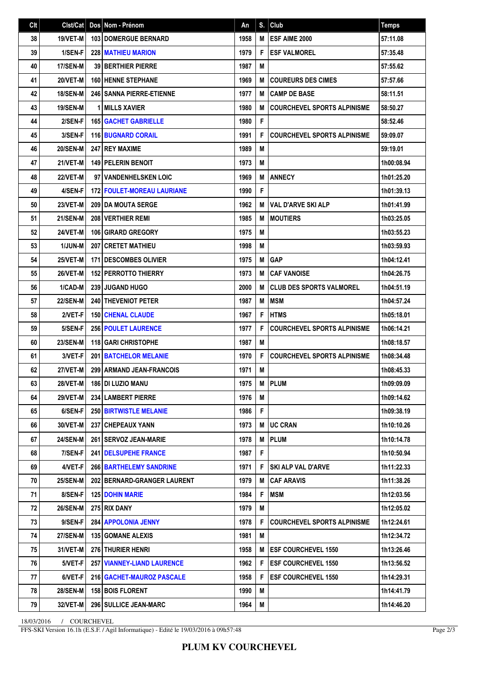| Clt | Clst/Cat        |   | Dos Nom - Prénom                  | An   | S. | Club                               | <b>Temps</b> |
|-----|-----------------|---|-----------------------------------|------|----|------------------------------------|--------------|
| 38  | 19/VET-M        |   | <b>103 DOMERGUE BERNARD</b>       | 1958 | M  | <b>ESF AIME 2000</b>               | 57:11.08     |
| 39  | 1/SEN-F         |   | <b>228 MATHIEU MARION</b>         | 1979 | F  | <b>ESF VALMOREL</b>                | 57:35.48     |
| 40  | <b>17/SEN-M</b> |   | <b>39 BERTHIER PIERRE</b>         | 1987 | M  |                                    | 57:55.62     |
| 41  | <b>20/VET-M</b> |   | <b>160 HENNE STEPHANE</b>         | 1969 | M  | <b>COUREURS DES CIMES</b>          | 57:57.66     |
| 42  | <b>18/SEN-M</b> |   | <b>246   SANNA PIERRE-ETIENNE</b> | 1977 | M  | <b>CAMP DE BASE</b>                | 58:11.51     |
| 43  | <b>19/SEN-M</b> | 1 | <b>IMILLS XAVIER</b>              | 1980 | M  | <b>COURCHEVEL SPORTS ALPINISME</b> | 58:50.27     |
| 44  | 2/SEN-F         |   | <b>165 GACHET GABRIELLE</b>       | 1980 | F  |                                    | 58:52.46     |
| 45  | 3/SEN-F         |   | <b>116 BUGNARD CORAIL</b>         | 1991 | F  | <b>COURCHEVEL SPORTS ALPINISME</b> | 59:09.07     |
| 46  | <b>20/SEN-M</b> |   | <b>247 I REY MAXIME</b>           | 1989 | M  |                                    | 59:19.01     |
| 47  | 21/VET-M        |   | <b>149 PELERIN BENOIT</b>         | 1973 | M  |                                    | 1h00:08.94   |
| 48  | <b>22/VET-M</b> |   | 97 VANDENHELSKEN LOIC             | 1969 | M  | <b>ANNECY</b>                      | 1h01:25.20   |
| 49  | 4/SEN-F         |   | <b>172 FOULET-MOREAU LAURIANE</b> | 1990 | F  |                                    | 1h01:39.13   |
| 50  | 23/VET-M        |   | 209 DA MOUTA SERGE                | 1962 | M  | <b>VAL D'ARVE SKI ALP</b>          | 1h01:41.99   |
| 51  | 21/SEN-M        |   | <b>208 VERTHIER REMI</b>          | 1985 | M  | <b>MOUTIERS</b>                    | 1h03:25.05   |
| 52  | 24/VET-M        |   | 106 GIRARD GREGORY                | 1975 | M  |                                    | 1h03:55.23   |
| 53  | <b>1/JUN-M</b>  |   | <b>207 CRETET MATHIEU</b>         | 1998 | M  |                                    | 1h03:59.93   |
| 54  | 25/VET-M        |   | <b>171 DESCOMBES OLIVIER</b>      | 1975 | M  | <b>GAP</b>                         | 1h04:12.41   |
| 55  | 26/VET-M        |   | <b>152 PERROTTO THIERRY</b>       | 1973 | M  | <b>CAF VANOISE</b>                 | 1h04:26.75   |
| 56  | 1/CAD-M         |   | <b>239 JUGAND HUGO</b>            | 2000 | M  | <b>CLUB DES SPORTS VALMOREL</b>    | 1h04:51.19   |
| 57  | <b>22/SEN-M</b> |   | <b>240 THEVENIOT PETER</b>        | 1987 | M  | <b>MSM</b>                         | 1h04:57.24   |
| 58  | 2/VET-F         |   | <b>150 CHENAL CLAUDE</b>          | 1967 | F  | <b>HTMS</b>                        | 1h05:18.01   |
| 59  | 5/SEN-F         |   | <b>256 POULET LAURENCE</b>        | 1977 | F  | <b>COURCHEVEL SPORTS ALPINISME</b> | 1h06:14.21   |
| 60  | <b>23/SEN-M</b> |   | <b>118 GARI CHRISTOPHE</b>        | 1987 | M  |                                    | 1h08:18.57   |
| 61  | 3/VET-F         |   | <b>201 BATCHELOR MELANIE</b>      | 1970 | F  | <b>COURCHEVEL SPORTS ALPINISME</b> | 1h08:34.48   |
| 62  | 27/VET-M        |   | 299 ARMAND JEAN-FRANCOIS          | 1971 | M  |                                    | 1h08:45.33   |
| 63  | <b>28/VET-M</b> |   | <b>186 DI LUZIO MANU</b>          | 1975 | M  | PLUM                               | 1h09:09.09   |
| 64  | 29/VET-M        |   | 234 LAMBERT PIERRE                | 1976 | M  |                                    | 1h09:14.62   |
| 65  | 6/SEN-F         |   | <b>250 BIRTWISTLE MELANIE</b>     | 1986 | F. |                                    | 1h09:38.19   |
| 66  | 30/VET-M        |   | 237 CHEPEAUX YANN                 | 1973 | M  | <b>UC CRAN</b>                     | 1h10:10.26   |
| 67  | <b>24/SEN-M</b> |   | 261 SERVOZ JEAN-MARIE             | 1978 | M  | <b>IPLUM</b>                       | 1h10:14.78   |
| 68  | 7/SEN-F         |   | <b>241   DELSUPEHE FRANCE</b>     | 1987 | F  |                                    | 1h10:50.94   |
| 69  | 4/VET-F         |   | <b>266 BARTHELEMY SANDRINE</b>    | 1971 | F  | SKI ALP VAL D'ARVE                 | 1h11:22.33   |
| 70  | <b>25/SEN-M</b> |   | 202 BERNARD-GRANGER LAURENT       | 1979 | M  | I CAF ARAVIS                       | 1h11:38.26   |
| 71  | 8/SEN-F         |   | <b>125 DOHIN MARIE</b>            | 1984 | F  | <b>IMSM</b>                        | 1h12:03.56   |
| 72  | <b>26/SEN-M</b> |   | 275 RIX DANY                      | 1979 | M  |                                    | 1h12:05.02   |
| 73  | 9/SEN-F         |   | 284 APPOLONIA JENNY               | 1978 | F  | <b>COURCHEVEL SPORTS ALPINISME</b> | 1h12:24.61   |
| 74  | <b>27/SEN-M</b> |   | <b>135   GOMANE ALEXIS</b>        | 1981 | M  |                                    | 1h12:34.72   |
| 75  | 31/VET-M        |   | <b>276 THURIER HENRI</b>          | 1958 | M  | <b>ESF COURCHEVEL 1550</b>         | 1h13:26.46   |
| 76  | 5/VET-F         |   | 257 VIANNEY-LIAND LAURENCE        | 1962 | F  | <b>ESF COURCHEVEL 1550</b>         | 1h13:56.52   |
| 77  | 6/VET-F         |   | 216   GACHET-MAUROZ PASCALE       | 1958 | F  | <b>ESF COURCHEVEL 1550</b>         | 1h14:29.31   |
| 78  | <b>28/SEN-M</b> |   | <b>158 BOIS FLORENT</b>           | 1990 | M  |                                    | 1h14:41.79   |
| 79  | 32/VET-M        |   | 296 SULLICE JEAN-MARC             | 1964 | M  |                                    | 1h14:46.20   |

18/03/2016 / COURCHEVEL

FFS-SKI Version 16.1h (E.S.F. / Agil Informatique) - Edité le 19/03/2016 à 09h57:48